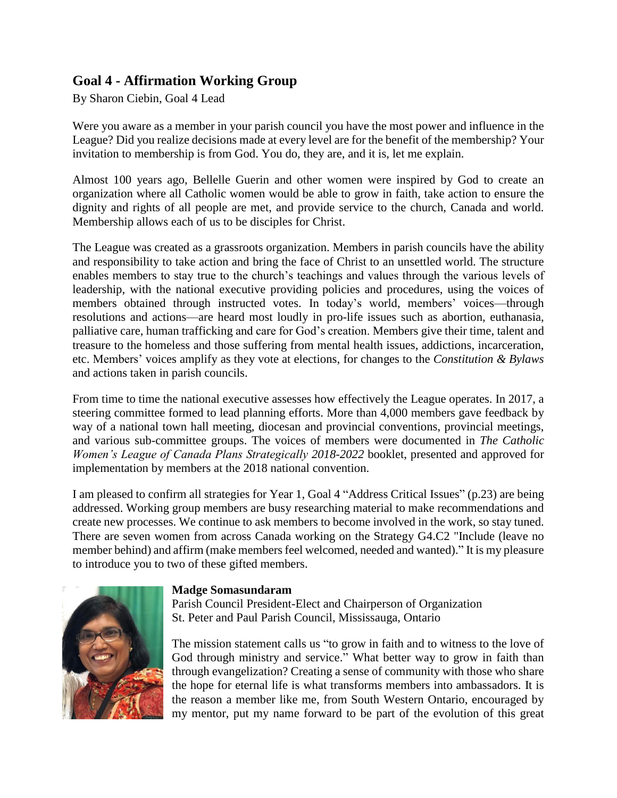## **Goal 4 - Affirmation Working Group**

By Sharon Ciebin, Goal 4 Lead

Were you aware as a member in your parish council you have the most power and influence in the League? Did you realize decisions made at every level are for the benefit of the membership? Your invitation to membership is from God. You do, they are, and it is, let me explain.

Almost 100 years ago, Bellelle Guerin and other women were inspired by God to create an organization where all Catholic women would be able to grow in faith, take action to ensure the dignity and rights of all people are met, and provide service to the church, Canada and world. Membership allows each of us to be disciples for Christ.

The League was created as a grassroots organization. Members in parish councils have the ability and responsibility to take action and bring the face of Christ to an unsettled world. The structure enables members to stay true to the church's teachings and values through the various levels of leadership, with the national executive providing policies and procedures, using the voices of members obtained through instructed votes. In today's world, members' voices—through resolutions and actions—are heard most loudly in pro-life issues such as abortion, euthanasia, palliative care, human trafficking and care for God's creation. Members give their time, talent and treasure to the homeless and those suffering from mental health issues, addictions, incarceration, etc. Members' voices amplify as they vote at elections, for changes to the *Constitution & Bylaws* and actions taken in parish councils.

From time to time the national executive assesses how effectively the League operates. In 2017, a steering committee formed to lead planning efforts. More than 4,000 members gave feedback by way of a national town hall meeting, diocesan and provincial conventions, provincial meetings, and various sub-committee groups. The voices of members were documented in *The Catholic Women's League of Canada Plans Strategically 2018-2022* booklet, presented and approved for implementation by members at the 2018 national convention.

I am pleased to confirm all strategies for Year 1, Goal 4 "Address Critical Issues" (p.23) are being addressed. Working group members are busy researching material to make recommendations and create new processes. We continue to ask members to become involved in the work, so stay tuned. There are seven women from across Canada working on the Strategy G4.C2 "Include (leave no member behind) and affirm (make members feel welcomed, needed and wanted)." It is my pleasure to introduce you to two of these gifted members.



## **Madge Somasundaram**

Parish Council President-Elect and Chairperson of Organization St. Peter and Paul Parish Council, Mississauga, Ontario

The mission statement calls us "to grow in faith and to witness to the love of God through ministry and service." What better way to grow in faith than through evangelization? Creating a sense of community with those who share the hope for eternal life is what transforms members into ambassadors. It is the reason a member like me, from South Western Ontario, encouraged by my mentor, put my name forward to be part of the evolution of this great